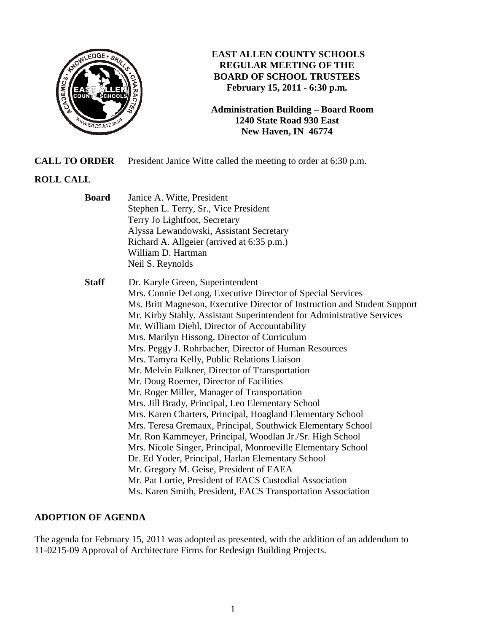

# **EAST ALLEN COUNTY SCHOOLS REGULAR MEETING OF THE BOARD OF SCHOOL TRUSTEES February 15, 2011 - 6:30 p.m.**

**Administration Building – Board Room 1240 State Road 930 East New Haven, IN 46774**

**CALL TO ORDER** President Janice Witte called the meeting to order at 6:30 p.m.

## **ROLL CALL**

| <b>Board</b> | Janice A. Witte, President                                                |
|--------------|---------------------------------------------------------------------------|
|              | Stephen L. Terry, Sr., Vice President                                     |
|              | Terry Jo Lightfoot, Secretary                                             |
|              | Alyssa Lewandowski, Assistant Secretary                                   |
|              | Richard A. Allgeier (arrived at 6:35 p.m.)                                |
|              | William D. Hartman                                                        |
|              | Neil S. Reynolds                                                          |
| <b>Staff</b> | Dr. Karyle Green, Superintendent                                          |
|              | Mrs. Connie DeLong, Executive Director of Special Services                |
|              | Ms. Britt Magneson, Executive Director of Instruction and Student Support |
|              | Mr. Kirby Stahly, Assistant Superintendent for Administrative Services    |
|              | Mr. William Diehl, Director of Accountability                             |
|              | Mrs. Marilyn Hissong, Director of Curriculum                              |
|              | Mrs. Peggy J. Rohrbacher, Director of Human Resources                     |
|              | Mrs. Tamyra Kelly, Public Relations Liaison                               |
|              | Mr. Melvin Falkner, Director of Transportation                            |
|              | Mr. Doug Roemer, Director of Facilities                                   |
|              | Mr. Roger Miller, Manager of Transportation                               |
|              | Mrs. Jill Brady, Principal, Leo Elementary School                         |
|              | Mrs. Karen Charters, Principal, Hoagland Elementary School                |
|              | Mrs. Teresa Gremaux, Principal, Southwick Elementary School               |
|              | Mr. Ron Kammeyer, Principal, Woodlan Jr./Sr. High School                  |
|              | Mrs. Nicole Singer, Principal, Monroeville Elementary School              |
|              | Dr. Ed Yoder, Principal, Harlan Elementary School                         |
|              | Mr. Gregory M. Geise, President of EAEA                                   |
|              | Mr. Pat Lortie, President of EACS Custodial Association                   |
|              | Ms. Karen Smith, President, EACS Transportation Association               |

## **ADOPTION OF AGENDA**

The agenda for February 15, 2011 was adopted as presented, with the addition of an addendum to 11-0215-09 Approval of Architecture Firms for Redesign Building Projects.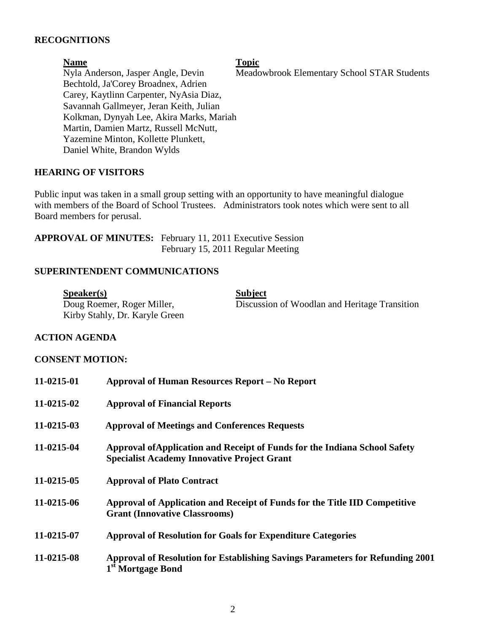## **RECOGNITIONS**

| <b>Name</b>                              | <b>Topic</b>                                |
|------------------------------------------|---------------------------------------------|
| Nyla Anderson, Jasper Angle, Devin       | Meadowbrook Elementary School STAR Students |
| Bechtold, Ja'Corey Broadnex, Adrien      |                                             |
| Carey, Kaytlinn Carpenter, NyAsia Diaz,  |                                             |
| Savannah Gallmeyer, Jeran Keith, Julian  |                                             |
| Kolkman, Dynyah Lee, Akira Marks, Mariah |                                             |
| Martin, Damien Martz, Russell McNutt,    |                                             |
| Yazemine Minton, Kollette Plunkett,      |                                             |
| Daniel White, Brandon Wylds              |                                             |

### **HEARING OF VISITORS**

Public input was taken in a small group setting with an opportunity to have meaningful dialogue with members of the Board of School Trustees. Administrators took notes which were sent to all Board members for perusal.

| <b>APPROVAL OF MINUTES:</b> February 11, 2011 Executive Session |
|-----------------------------------------------------------------|
| February 15, 2011 Regular Meeting                               |

### **SUPERINTENDENT COMMUNICATIONS**

Speaker(s) Subject<br>Doug Roemer, Roger Miller, Discussie Kirby Stahly, Dr. Karyle Green

Discussion of Woodlan and Heritage Transition

#### **ACTION AGENDA**

#### **CONSENT MOTION:**

| 11-0215-01 | <b>Approval of Human Resources Report – No Report</b>                                                                            |
|------------|----------------------------------------------------------------------------------------------------------------------------------|
| 11-0215-02 | <b>Approval of Financial Reports</b>                                                                                             |
| 11-0215-03 | <b>Approval of Meetings and Conferences Requests</b>                                                                             |
| 11-0215-04 | Approval of Application and Receipt of Funds for the Indiana School Safety<br><b>Specialist Academy Innovative Project Grant</b> |
| 11-0215-05 | <b>Approval of Plato Contract</b>                                                                                                |
| 11-0215-06 | Approval of Application and Receipt of Funds for the Title IID Competitive<br><b>Grant (Innovative Classrooms)</b>               |
| 11-0215-07 | <b>Approval of Resolution for Goals for Expenditure Categories</b>                                                               |
| 11-0215-08 | Approval of Resolution for Establishing Savings Parameters for Refunding 2001<br>1 <sup>st</sup> Mortgage Bond                   |